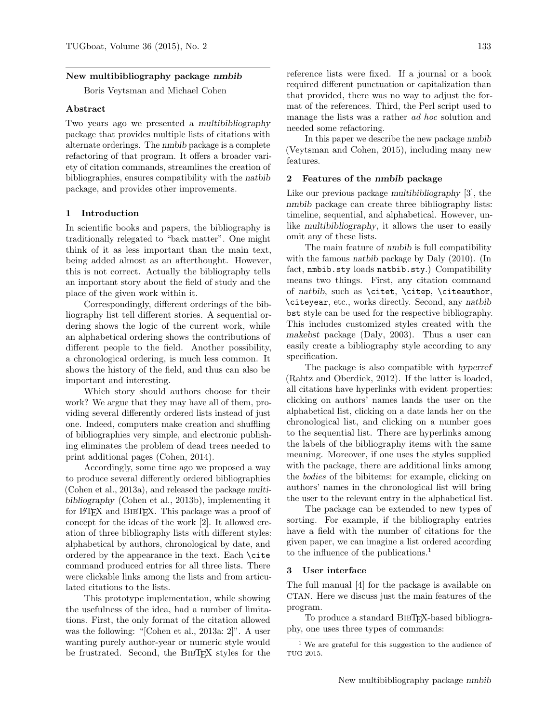#### New multibibliography package nmbib

Boris Veytsman and Michael Cohen

### Abstract

Two years ago we presented a multibibliography package that provides multiple lists of citations with alternate orderings. The nmbib package is a complete refactoring of that program. It offers a broader variety of citation commands, streamlines the creation of bibliographies, ensures compatibility with the natbib package, and provides other improvements.

### 1 Introduction

In scientific books and papers, the bibliography is traditionally relegated to "back matter". One might think of it as less important than the main text, being added almost as an afterthought. However, this is not correct. Actually the bibliography tells an important story about the field of study and the place of the given work within it.

Correspondingly, different orderings of the bibliography list tell different stories. A sequential ordering shows the logic of the current work, while an alphabetical ordering shows the contributions of different people to the field. Another possibility, a chronological ordering, is much less common. It shows the history of the field, and thus can also be important and interesting.

Which story should authors choose for their work? We argue that they may have all of them, providing several differently ordered lists instead of just one. Indeed, computers make creation and shuffling of bibliographies very simple, and electronic publishing eliminates the problem of dead trees needed to print additional pages [\(Cohen,](#page-1-0) [2014\)](#page-2-0).

Accordingly, some time ago we proposed a way to produce several differently ordered bibliographies [\(Cohen et al.,](#page-2-1) [2013a\)](#page-2-2), and released the package multibibliography [\(Cohen et al.,](#page-1-1) [2013b\)](#page-2-3), implementing it for LAT<sub>EX</sub> and BIBTEX. This package was a proof of concept for the ideas of the work [\[2\]](#page-1-2). It allowed creation of three bibliography lists with different styles: alphabetical by authors, chronological by date, and ordered by the appearance in the text. Each \cite command produced entries for all three lists. There were clickable links among the lists and from articulated citations to the lists.

This prototype implementation, while showing the usefulness of the idea, had a number of limitations. First, the only format of the citation allowed was the following: "[Cohen et al., 2013a: 2]". A user wanting purely author-year or numeric style would be frustrated. Second, the BIBT<sub>F</sub>X styles for the

reference lists were fixed. If a journal or a book required different punctuation or capitalization than that provided, there was no way to adjust the format of the references. Third, the Perl script used to manage the lists was a rather *ad hoc* solution and needed some refactoring.

In this paper we describe the new package nmbib [\(Veytsman and Cohen,](#page-2-4) [2015\)](#page-2-5), including many new features.

#### 2 Features of the nmbib package

Like our previous package multibibliography [\[3\]](#page-1-3), the nmbib package can create three bibliography lists: timeline, sequential, and alphabetical. However, unlike multibibliography, it allows the user to easily omit any of these lists.

The main feature of nmbib is full compatibility with the famous natbib package by [Daly](#page-2-6) [\(2010\)](#page-2-7). (In fact, nmbib.sty loads natbib.sty.) Compatibility means two things. First, any citation command of natbib, such as \citet, \citep, \citeauthor, \citeyear, etc., works directly. Second, any natbib bst style can be used for the respective bibliography. This includes customized styles created with the makebst package [\(Daly,](#page-2-8) [2003\)](#page-2-9). Thus a user can easily create a bibliography style according to any specification.

The package is also compatible with hyperref [\(Rahtz and Oberdiek,](#page-2-10) [2012\)](#page-2-11). If the latter is loaded, all citations have hyperlinks with evident properties: clicking on authors' names lands the user on the alphabetical list, clicking on a date lands her on the chronological list, and clicking on a number goes to the sequential list. There are hyperlinks among the labels of the bibliography items with the same meaning. Moreover, if one uses the styles supplied with the package, there are additional links among the bodies of the bibitems: for example, clicking on authors' names in the chronological list will bring the user to the relevant entry in the alphabetical list.

The package can be extended to new types of sorting. For example, if the bibliography entries have a field with the number of citations for the given paper, we can imagine a list ordered according to the influence of the publications.<sup>[1](#page-0-0)</sup>

### 3 User interface

The full manual [\[4\]](#page-1-4) for the package is available on CTAN. Here we discuss just the main features of the program.

To produce a standard BibTEX-based bibliography, one uses three types of commands:

<span id="page-0-0"></span><sup>1</sup> We are grateful for this suggestion to the audience of TUG 2015.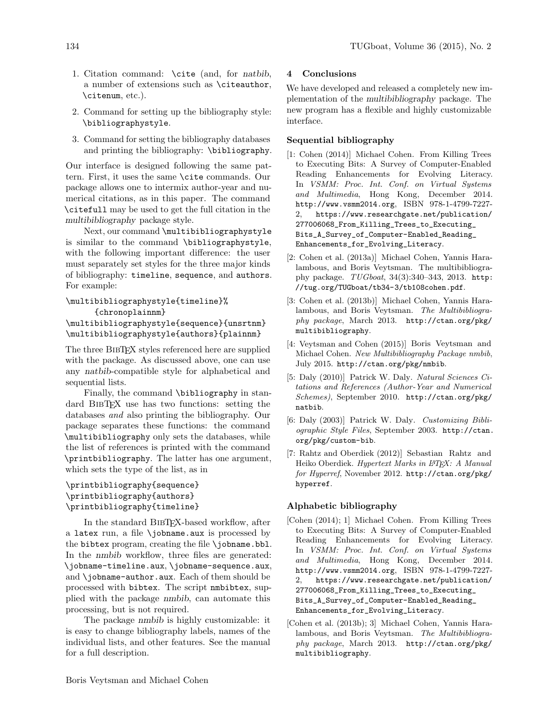- 1. Citation command: \cite (and, for natbib, a number of extensions such as \citeauthor, \citenum, etc.).
- 2. Command for setting up the bibliography style: \bibliographystyle.
- 3. Command for setting the bibliography databases and printing the bibliography: \bibliography.

Our interface is designed following the same pattern. First, it uses the same \cite commands. Our package allows one to intermix author-year and numerical citations, as in this paper. The command \citefull may be used to get the full citation in the multibibliography package style.

Next, our command \multibibliographystyle is similar to the command \bibliographystyle, with the following important difference: the user must separately set styles for the three major kinds of bibliography: timeline, sequence, and authors. For example:

# \multibibliographystyle{timeline}% {chronoplainnm}

```
\multibibliographystyle{sequence}{unsrtnm}
\multibibliographystyle{authors}{plainnm}
```
The three BibTEX styles referenced here are supplied with the package. As discussed above, one can use any natbib-compatible style for alphabetical and sequential lists.

Finally, the command \bibliography in standard BibTEX use has two functions: setting the databases and also printing the bibliography. Our package separates these functions: the command \multibibliography only sets the databases, while the list of references is printed with the command \printbibliography. The latter has one argument, which sets the type of the list, as in

### \printbibliography{sequence} \printbibliography{authors} \printbibliography{timeline}

In the standard BibTEX-based workflow, after a latex run, a file \jobname.aux is processed by the bibtex program, creating the file \jobname.bbl. In the nmbib workflow, three files are generated: \jobname-timeline.aux, \jobname-sequence.aux, and \jobname-author.aux. Each of them should be processed with bibtex. The script nmbibtex, supplied with the package nmbib, can automate this processing, but is not required.

The package nmbib is highly customizable: it is easy to change bibliography labels, names of the individual lists, and other features. See the manual for a full description.

## 4 Conclusions

We have developed and released a completely new implementation of the multibibliography package. The new program has a flexible and highly customizable interface.

### Sequential bibliography

- <span id="page-1-5"></span>[1: [Cohen](#page-1-0) [\(2014\)](#page-2-0)] [Michael Cohen.](#page-1-0) From Killing Trees to Executing Bits: A Survey of Computer-Enabled Reading Enhancements for Evolving Literacy. In VSMM: Proc. Int. Conf. on Virtual Systems and Multimedia, Hong Kong, [December 2014.](#page-2-0) <http://www.vsmm2014.org>, ISBN 978-1-4799-7227 [https://www.researchgate.net/publication/](https://www.researchgate.net/publication/277006068_From_Killing_Trees_to_Executing_Bits_A_Survey_of_Computer-Enabled_Reading_Enhancements_for_Evolving_Literacy) [277006068\\_From\\_Killing\\_Trees\\_to\\_Executing\\_](https://www.researchgate.net/publication/277006068_From_Killing_Trees_to_Executing_Bits_A_Survey_of_Computer-Enabled_Reading_Enhancements_for_Evolving_Literacy) [Bits\\_A\\_Survey\\_of\\_Computer-Enabled\\_Reading\\_](https://www.researchgate.net/publication/277006068_From_Killing_Trees_to_Executing_Bits_A_Survey_of_Computer-Enabled_Reading_Enhancements_for_Evolving_Literacy) [Enhancements\\_for\\_Evolving\\_Literacy](https://www.researchgate.net/publication/277006068_From_Killing_Trees_to_Executing_Bits_A_Survey_of_Computer-Enabled_Reading_Enhancements_for_Evolving_Literacy).
- <span id="page-1-2"></span>[2: [Cohen et al.](#page-2-1) [\(2013a\)](#page-2-2)] [Michael Cohen, Yannis Hara](#page-2-1)[lambous, and Boris Veytsman.](#page-2-1) The multibibliography package. TUGboat, 34(3):340–343, [2013.](#page-2-2) [http:](http://tug.org/TUGboat/tb34-3/tb108cohen.pdf) [//tug.org/TUGboat/tb34-3/tb108cohen.pdf](http://tug.org/TUGboat/tb34-3/tb108cohen.pdf).
- <span id="page-1-3"></span>[3: [Cohen et al.](#page-1-1) [\(2013b\)](#page-2-3)] [Michael Cohen, Yannis Hara](#page-1-1)[lambous, and Boris Veytsman.](#page-1-1) The Multibibliography package, [March 2013.](#page-2-3) [http://ctan.org/pkg/](http://ctan.org/pkg/multibibliography) [multibibliography](http://ctan.org/pkg/multibibliography).
- <span id="page-1-4"></span>[4: [Veytsman and Cohen](#page-2-4) [\(2015\)](#page-2-5)] [Boris Veytsman and](#page-2-4) [Michael Cohen.](#page-2-4) New Multibibliography Package nmbib, [July 2015.](#page-2-5) <http://ctan.org/pkg/nmbib>.
- <span id="page-1-7"></span>[5: [Daly](#page-2-6) [\(2010\)](#page-2-7)] [Patrick W. Daly.](#page-2-6) Natural Sciences Citations and References (Author-Year and Numerical Schemes), [September 2010.](#page-2-7) [http://ctan.org/pkg/](http://ctan.org/pkg/natbib) [natbib](http://ctan.org/pkg/natbib).
- <span id="page-1-6"></span>[6: [Daly](#page-2-8) [\(2003\)](#page-2-9)] [Patrick W. Daly.](#page-2-8) Customizing Bibliographic Style Files, [September 2003.](#page-2-9) [http://ctan.](http://ctan.org/pkg/custom-bib) [org/pkg/custom-bib](http://ctan.org/pkg/custom-bib).
- <span id="page-1-8"></span>[7: [Rahtz and Oberdiek](#page-2-10) [\(2012\)](#page-2-11)] [Sebastian Rahtz and](#page-2-10) [Heiko Oberdiek.](#page-2-10) Hypertext Marks in L<sup>A</sup>TFX: A Manual for Hyperref, [November 2012.](#page-2-11) [http://ctan.org/pkg/](http://ctan.org/pkg/hyperref) [hyperref](http://ctan.org/pkg/hyperref).

### Alphabetic bibliography

- <span id="page-1-0"></span>[Cohen [\(2014\)](#page-2-0); [1\]](#page-1-5) Michael Cohen. From Killing Trees to Executing Bits: A Survey of Computer-Enabled Reading Enhancements for Evolving Literacy. In VSMM: Proc. Int. Conf. on Virtual Systems and Multimedia, Hong Kong, [December 2014.](#page-2-0) <http://www.vsmm2014.org>, ISBN 978-1-4799-7227- 2, [https://www.researchgate.net/publication/](https://www.researchgate.net/publication/277006068_From_Killing_Trees_to_Executing_Bits_A_Survey_of_Computer-Enabled_Reading_Enhancements_for_Evolving_Literacy) [277006068\\_From\\_Killing\\_Trees\\_to\\_Executing\\_](https://www.researchgate.net/publication/277006068_From_Killing_Trees_to_Executing_Bits_A_Survey_of_Computer-Enabled_Reading_Enhancements_for_Evolving_Literacy) [Bits\\_A\\_Survey\\_of\\_Computer-Enabled\\_Reading\\_](https://www.researchgate.net/publication/277006068_From_Killing_Trees_to_Executing_Bits_A_Survey_of_Computer-Enabled_Reading_Enhancements_for_Evolving_Literacy) [Enhancements\\_for\\_Evolving\\_Literacy](https://www.researchgate.net/publication/277006068_From_Killing_Trees_to_Executing_Bits_A_Survey_of_Computer-Enabled_Reading_Enhancements_for_Evolving_Literacy).
- <span id="page-1-1"></span>[Cohen et al. [\(2013b\)](#page-2-3); [3\]](#page-1-3) Michael Cohen, Yannis Haralambous, and Boris Veytsman. The Multibibliography package, [March 2013.](#page-2-3) [http://ctan.org/pkg/](http://ctan.org/pkg/multibibliography) [multibibliography](http://ctan.org/pkg/multibibliography).